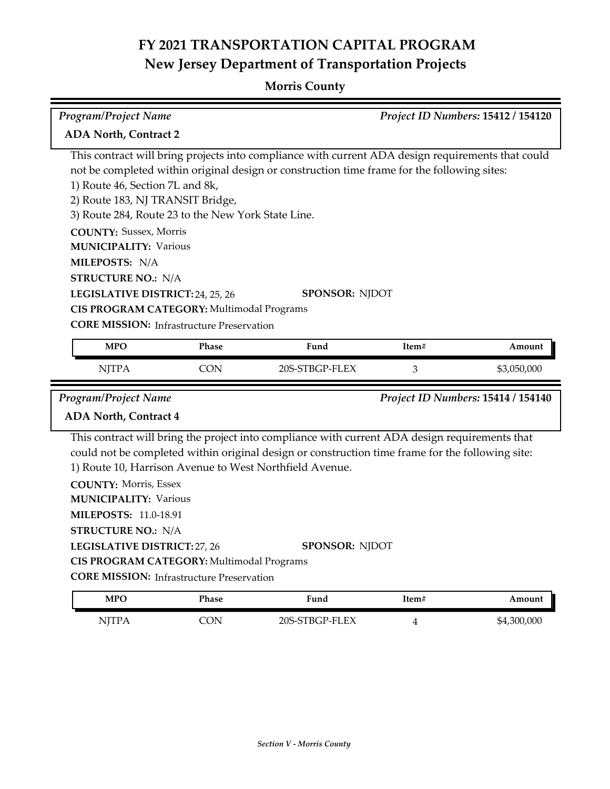### **Morris County**

| Program/Project Name<br>Project ID Numbers: 15412 / 154120                                                                                                                          |                                                                                               |                                                                                                                                                                                                                                                                                        |                |                                    |  |
|-------------------------------------------------------------------------------------------------------------------------------------------------------------------------------------|-----------------------------------------------------------------------------------------------|----------------------------------------------------------------------------------------------------------------------------------------------------------------------------------------------------------------------------------------------------------------------------------------|----------------|------------------------------------|--|
| <b>ADA North, Contract 2</b>                                                                                                                                                        |                                                                                               |                                                                                                                                                                                                                                                                                        |                |                                    |  |
| 1) Route 46, Section 7L and 8k,<br>2) Route 183, NJ TRANSIT Bridge,<br><b>COUNTY: Sussex, Morris</b><br><b>MUNICIPALITY: Various</b><br>MILEPOSTS: N/A<br><b>STRUCTURE NO.: N/A</b> | 3) Route 284, Route 23 to the New York State Line.                                            | This contract will bring projects into compliance with current ADA design requirements that could<br>not be completed within original design or construction time frame for the following sites:                                                                                       |                |                                    |  |
| LEGISLATIVE DISTRICT: 24, 25, 26                                                                                                                                                    |                                                                                               | SPONSOR: NJDOT                                                                                                                                                                                                                                                                         |                |                                    |  |
|                                                                                                                                                                                     | CIS PROGRAM CATEGORY: Multimodal Programs                                                     |                                                                                                                                                                                                                                                                                        |                |                                    |  |
|                                                                                                                                                                                     | <b>CORE MISSION:</b> Infrastructure Preservation                                              |                                                                                                                                                                                                                                                                                        |                |                                    |  |
| <b>MPO</b>                                                                                                                                                                          | Phase                                                                                         | Fund                                                                                                                                                                                                                                                                                   | Item#          | Amount                             |  |
| <b>NJTPA</b>                                                                                                                                                                        | <b>CON</b>                                                                                    | 20S-STBGP-FLEX                                                                                                                                                                                                                                                                         | 3              | \$3,050,000                        |  |
| Program/Project Name                                                                                                                                                                |                                                                                               |                                                                                                                                                                                                                                                                                        |                | Project ID Numbers: 15414 / 154140 |  |
| <b>ADA North, Contract 4</b>                                                                                                                                                        |                                                                                               |                                                                                                                                                                                                                                                                                        |                |                                    |  |
| <b>COUNTY: Morris, Essex</b><br><b>MUNICIPALITY: Various</b><br><b>MILEPOSTS: 11.0-18.91</b><br><b>STRUCTURE NO.: N/A</b><br><b>LEGISLATIVE DISTRICT: 27, 26</b>                    | CIS PROGRAM CATEGORY: Multimodal Programs<br><b>CORE MISSION:</b> Infrastructure Preservation | This contract will bring the project into compliance with current ADA design requirements that<br>could not be completed within original design or construction time frame for the following site:<br>1) Route 10, Harrison Avenue to West Northfield Avenue.<br><b>SPONSOR: NJDOT</b> |                |                                    |  |
| <b>MPO</b>                                                                                                                                                                          | Phase                                                                                         | Fund                                                                                                                                                                                                                                                                                   | Item#          | Amount                             |  |
| <b>NJTPA</b>                                                                                                                                                                        | <b>CON</b>                                                                                    | 20S-STBGP-FLEX                                                                                                                                                                                                                                                                         | $\overline{4}$ | \$4,300,000                        |  |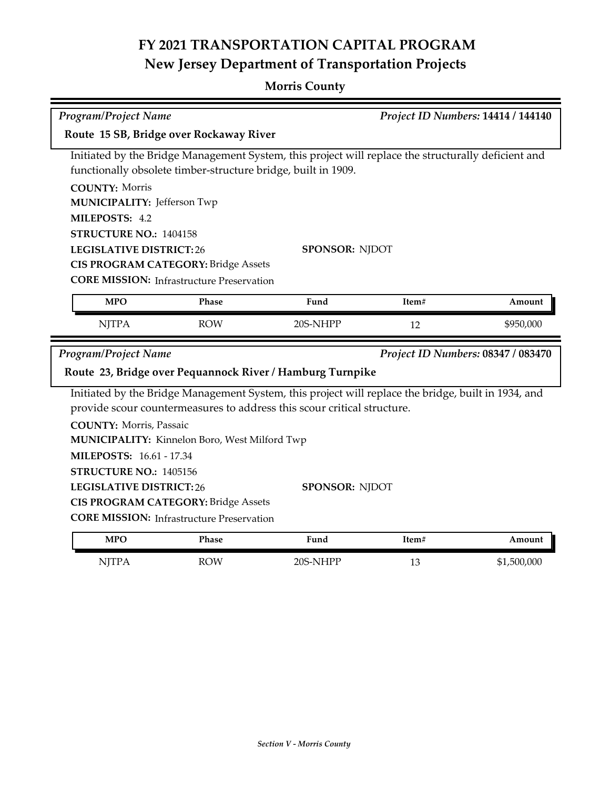### **Morris County**

| Program/Project Name<br>Project ID Numbers: 14414 / 144140                                          |                                                  |                                                                                                                                                                      |       |                                    |  |
|-----------------------------------------------------------------------------------------------------|--------------------------------------------------|----------------------------------------------------------------------------------------------------------------------------------------------------------------------|-------|------------------------------------|--|
| Route 15 SB, Bridge over Rockaway River                                                             |                                                  |                                                                                                                                                                      |       |                                    |  |
|                                                                                                     |                                                  | Initiated by the Bridge Management System, this project will replace the structurally deficient and<br>functionally obsolete timber-structure bridge, built in 1909. |       |                                    |  |
| <b>COUNTY: Morris</b>                                                                               |                                                  |                                                                                                                                                                      |       |                                    |  |
| <b>MUNICIPALITY: Jefferson Twp</b>                                                                  |                                                  |                                                                                                                                                                      |       |                                    |  |
| MILEPOSTS: 4.2                                                                                      |                                                  |                                                                                                                                                                      |       |                                    |  |
| STRUCTURE NO.: 1404158                                                                              |                                                  |                                                                                                                                                                      |       |                                    |  |
| <b>LEGISLATIVE DISTRICT:26</b>                                                                      |                                                  | <b>SPONSOR: NJDOT</b>                                                                                                                                                |       |                                    |  |
|                                                                                                     | <b>CIS PROGRAM CATEGORY: Bridge Assets</b>       |                                                                                                                                                                      |       |                                    |  |
|                                                                                                     | <b>CORE MISSION:</b> Infrastructure Preservation |                                                                                                                                                                      |       |                                    |  |
| <b>MPO</b>                                                                                          | Phase                                            | Fund                                                                                                                                                                 | Item# | Amount                             |  |
| <b>NJTPA</b>                                                                                        | <b>ROW</b>                                       | 20S-NHPP                                                                                                                                                             | 12    | \$950,000                          |  |
| Program/Project Name                                                                                |                                                  | Route 23, Bridge over Pequannock River / Hamburg Turnpike                                                                                                            |       | Project ID Numbers: 08347 / 083470 |  |
| Initiated by the Bridge Management System, this project will replace the bridge, built in 1934, and |                                                  |                                                                                                                                                                      |       |                                    |  |
|                                                                                                     |                                                  | provide scour countermeasures to address this scour critical structure.                                                                                              |       |                                    |  |
| <b>COUNTY: Morris, Passaic</b>                                                                      |                                                  |                                                                                                                                                                      |       |                                    |  |
|                                                                                                     | MUNICIPALITY: Kinnelon Boro, West Milford Twp    |                                                                                                                                                                      |       |                                    |  |
| <b>MILEPOSTS: 16.61 - 17.34</b>                                                                     |                                                  |                                                                                                                                                                      |       |                                    |  |
| STRUCTURE NO.: 1405156                                                                              |                                                  |                                                                                                                                                                      |       |                                    |  |
|                                                                                                     |                                                  |                                                                                                                                                                      |       |                                    |  |
| <b>LEGISLATIVE DISTRICT:26</b>                                                                      |                                                  | <b>SPONSOR: NJDOT</b>                                                                                                                                                |       |                                    |  |
|                                                                                                     | CIS PROGRAM CATEGORY: Bridge Assets              |                                                                                                                                                                      |       |                                    |  |
|                                                                                                     | <b>CORE MISSION:</b> Infrastructure Preservation |                                                                                                                                                                      |       |                                    |  |
| <b>MPO</b>                                                                                          | Phase                                            | Fund                                                                                                                                                                 | Item# | Amount                             |  |
| <b>NJTPA</b>                                                                                        | <b>ROW</b>                                       | 20S-NHPP                                                                                                                                                             | 13    | \$1,500,000                        |  |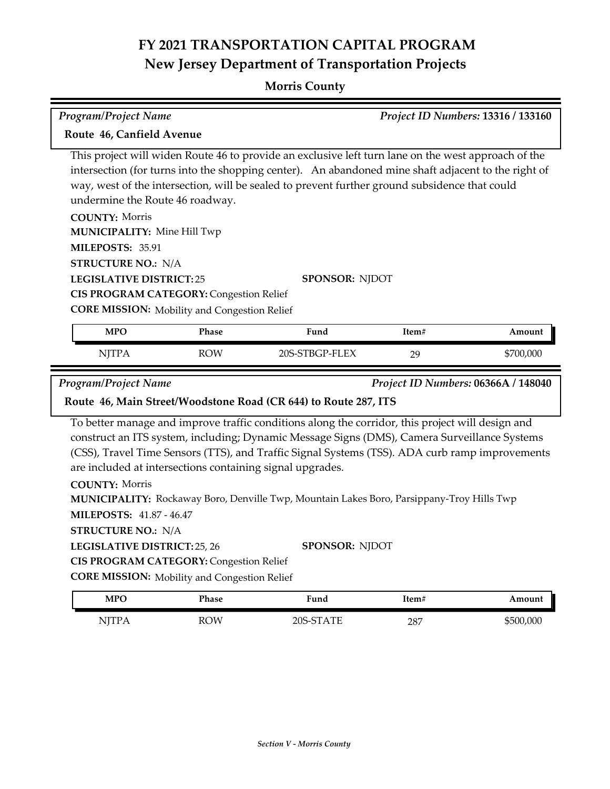### **Morris County**

| Route 46, Canfield Avenue<br>undermine the Route 46 roadway.<br><b>COUNTY: Morris</b><br><b>MUNICIPALITY: Mine Hill Twp</b><br>MILEPOSTS: 35.91<br><b>STRUCTURE NO.: N/A</b><br><b>LEGISLATIVE DISTRICT:25</b> |            | This project will widen Route 46 to provide an exclusive left turn lane on the west approach of the<br>intersection (for turns into the shopping center). An abandoned mine shaft adjacent to the right of<br>way, west of the intersection, will be sealed to prevent further ground subsidence that could |       |           |
|----------------------------------------------------------------------------------------------------------------------------------------------------------------------------------------------------------------|------------|-------------------------------------------------------------------------------------------------------------------------------------------------------------------------------------------------------------------------------------------------------------------------------------------------------------|-------|-----------|
|                                                                                                                                                                                                                |            |                                                                                                                                                                                                                                                                                                             |       |           |
|                                                                                                                                                                                                                |            |                                                                                                                                                                                                                                                                                                             |       |           |
|                                                                                                                                                                                                                |            |                                                                                                                                                                                                                                                                                                             |       |           |
|                                                                                                                                                                                                                |            |                                                                                                                                                                                                                                                                                                             |       |           |
|                                                                                                                                                                                                                |            |                                                                                                                                                                                                                                                                                                             |       |           |
|                                                                                                                                                                                                                |            |                                                                                                                                                                                                                                                                                                             |       |           |
|                                                                                                                                                                                                                |            | <b>SPONSOR: NJDOT</b>                                                                                                                                                                                                                                                                                       |       |           |
| <b>CIS PROGRAM CATEGORY: Congestion Relief</b>                                                                                                                                                                 |            |                                                                                                                                                                                                                                                                                                             |       |           |
| <b>CORE MISSION:</b> Mobility and Congestion Relief                                                                                                                                                            |            |                                                                                                                                                                                                                                                                                                             |       |           |
| <b>MPO</b>                                                                                                                                                                                                     | Phase      | Fund                                                                                                                                                                                                                                                                                                        | Item# | Amount    |
| <b>NJTPA</b>                                                                                                                                                                                                   | <b>ROW</b> | 20S-STBGP-FLEX                                                                                                                                                                                                                                                                                              | 29    | \$700,000 |
| are included at intersections containing signal upgrades.<br><b>COUNTY: Morris</b>                                                                                                                             |            | To better manage and improve traffic conditions along the corridor, this project will design and<br>construct an ITS system, including; Dynamic Message Signs (DMS), Camera Surveillance Systems<br>(CSS), Travel Time Sensors (TTS), and Traffic Signal Systems (TSS). ADA curb ramp improvements          |       |           |
| <b>MILEPOSTS: 41.87 - 46.47</b><br><b>STRUCTURE NO.: N/A</b>                                                                                                                                                   |            | MUNICIPALITY: Rockaway Boro, Denville Twp, Mountain Lakes Boro, Parsippany-Troy Hills Twp                                                                                                                                                                                                                   |       |           |
| LEGISLATIVE DISTRICT: 25, 26<br><b>CIS PROGRAM CATEGORY: Congestion Relief</b><br><b>CORE MISSION:</b> Mobility and Congestion Relief                                                                          |            | <b>SPONSOR: NJDOT</b>                                                                                                                                                                                                                                                                                       |       |           |
|                                                                                                                                                                                                                | Phase      | Fund                                                                                                                                                                                                                                                                                                        | Item# | Amount    |
|                                                                                                                                                                                                                |            |                                                                                                                                                                                                                                                                                                             |       |           |
| <b>MPO</b><br><b>NJTPA</b>                                                                                                                                                                                     | <b>ROW</b> | 20S-STATE                                                                                                                                                                                                                                                                                                   | 287   | \$500,000 |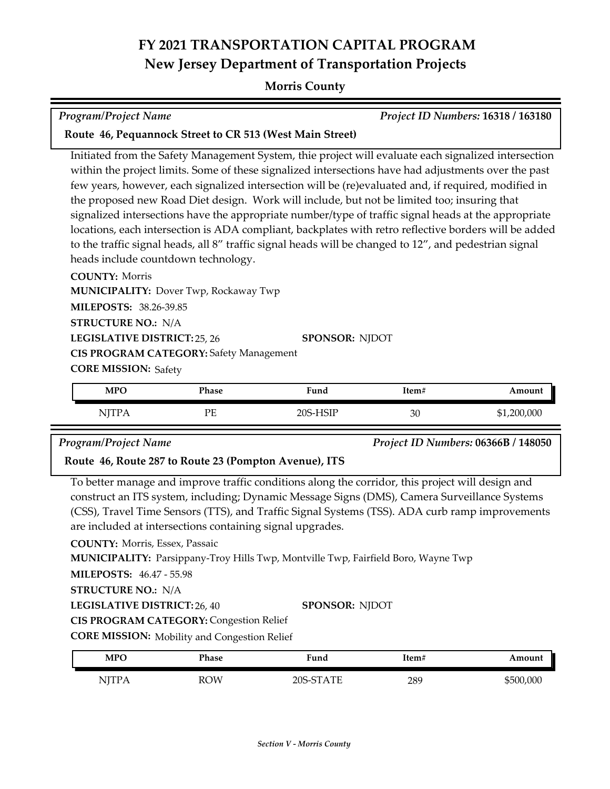#### **Morris County**

| Project ID Numbers: 16318 / 163180<br><b>Program/Project Name</b>                                                                                                                                |                                                                                     |                                                                                                                                                                                                                                                                                                                                                                                                                                                                                                                                                                                                                                                                                                                                                                  |       |                                     |  |
|--------------------------------------------------------------------------------------------------------------------------------------------------------------------------------------------------|-------------------------------------------------------------------------------------|------------------------------------------------------------------------------------------------------------------------------------------------------------------------------------------------------------------------------------------------------------------------------------------------------------------------------------------------------------------------------------------------------------------------------------------------------------------------------------------------------------------------------------------------------------------------------------------------------------------------------------------------------------------------------------------------------------------------------------------------------------------|-------|-------------------------------------|--|
| Route 46, Pequannock Street to CR 513 (West Main Street)                                                                                                                                         |                                                                                     |                                                                                                                                                                                                                                                                                                                                                                                                                                                                                                                                                                                                                                                                                                                                                                  |       |                                     |  |
| <b>COUNTY: Morris</b><br>MILEPOSTS: 38.26-39.85<br><b>STRUCTURE NO.: N/A</b><br><b>LEGISLATIVE DISTRICT: 25, 26</b>                                                                              | heads include countdown technology.<br><b>MUNICIPALITY: Dover Twp, Rockaway Twp</b> | Initiated from the Safety Management System, thie project will evaluate each signalized intersection<br>within the project limits. Some of these signalized intersections have had adjustments over the past<br>few years, however, each signalized intersection will be (re)evaluated and, if required, modified in<br>the proposed new Road Diet design. Work will include, but not be limited too; insuring that<br>signalized intersections have the appropriate number/type of traffic signal heads at the appropriate<br>locations, each intersection is ADA compliant, backplates with retro reflective borders will be added<br>to the traffic signal heads, all 8" traffic signal heads will be changed to 12", and pedestrian signal<br>SPONSOR: NJDOT |       |                                     |  |
| <b>CIS PROGRAM CATEGORY: Safety Management</b><br><b>CORE MISSION: Safety</b>                                                                                                                    |                                                                                     |                                                                                                                                                                                                                                                                                                                                                                                                                                                                                                                                                                                                                                                                                                                                                                  |       |                                     |  |
| <b>MPO</b>                                                                                                                                                                                       | Phase                                                                               | Fund                                                                                                                                                                                                                                                                                                                                                                                                                                                                                                                                                                                                                                                                                                                                                             | Item# | Amount                              |  |
| <b>NJTPA</b>                                                                                                                                                                                     | PE                                                                                  | 20S-HSIP                                                                                                                                                                                                                                                                                                                                                                                                                                                                                                                                                                                                                                                                                                                                                         | 30    | \$1,200,000                         |  |
| Program/Project Name                                                                                                                                                                             | Route 46, Route 287 to Route 23 (Pompton Avenue), ITS                               |                                                                                                                                                                                                                                                                                                                                                                                                                                                                                                                                                                                                                                                                                                                                                                  |       | Project ID Numbers: 06366B / 148050 |  |
| To better manage and improve traffic conditions along the corridor, this project will design and<br>construct an ITS system, including; Dynamic Message Signs (DMS), Camera Surveillance Systems |                                                                                     |                                                                                                                                                                                                                                                                                                                                                                                                                                                                                                                                                                                                                                                                                                                                                                  |       |                                     |  |

(CSS), Travel Time Sensors (TTS), and Traffic Signal Systems (TSS). ADA curb ramp improvements are included at intersections containing signal upgrades.

**COUNTY:** Morris, Essex, Passaic

**MUNICIPALITY:** Parsippany-Troy Hills Twp, Montville Twp, Fairfield Boro, Wayne Twp

**MILEPOSTS:** 46.47 - 55.98

**STRUCTURE NO.:** N/A

**LEGISLATIVE DISTRICT:** 26, 40 **SPONSOR:** NJDOT

**CIS PROGRAM CATEGORY: Congestion Relief** 

**CORE MISSION:** Mobility and Congestion Relief

| <b>MPO</b> | Phase      | ∀und      | Item# | Amount    |
|------------|------------|-----------|-------|-----------|
| NITP.<br>  | <b>ROW</b> | 20S-STATE | 289   | \$500,000 |